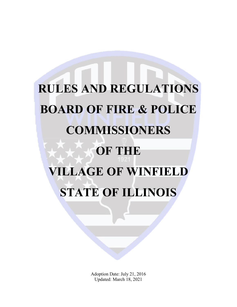# **RULES AND REGULATIONS BOARD OF FIRE & POLICE COMMISSIONERS OF THE VILLAGE OF WINFIELD STATE OF ILLINOIS**

Adoption Date: July 21, 2016 Updated: March 18, 2021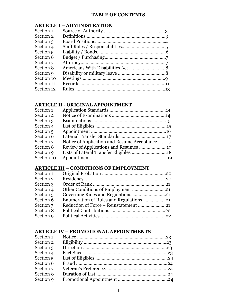## **TABLE OF CONTENTS**

## **ARTICLE I – ADMINISTRATION**

| Section 1  |  |
|------------|--|
| Section 2  |  |
| Section 3  |  |
| Section 4  |  |
| Section 5  |  |
| Section 6  |  |
| Section 7  |  |
| Section 8  |  |
| Section 9  |  |
| Section 10 |  |
| Section 11 |  |
| Section 12 |  |

## **ARTICLE II - ORIGINAL APPOINTMENT**

| Notice of Application and Resume Acceptance 17 |
|------------------------------------------------|

## **ARTICLE III – CONDITIONS OF EMPLOYMENT**

| Section 1 |                                         |  |
|-----------|-----------------------------------------|--|
| Section 2 |                                         |  |
| Section 3 |                                         |  |
| Section 4 |                                         |  |
| Section 5 |                                         |  |
| Section 6 | Enumeration of Rules and Regulations 21 |  |
| Section 7 |                                         |  |
| Section 8 |                                         |  |
| Section 9 |                                         |  |
|           |                                         |  |

## **ARTICLE IV – PROMOTIONAL APPOINTMENTS**

| Section 1 |  |
|-----------|--|
| Section 2 |  |
| Section 3 |  |
| Section 4 |  |
| Section 5 |  |
| Section 6 |  |
| Section 7 |  |
| Section 8 |  |
| Section 9 |  |
|           |  |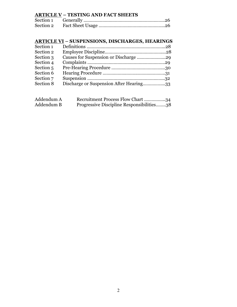## **ARTICLE V – TESTING AND FACT SHEETS**

## **ARTICLE VI – SUSPENSIONS, DISCHARGES, HEARINGS**

| Section 1 |                                         |  |
|-----------|-----------------------------------------|--|
| Section 2 |                                         |  |
| Section 3 |                                         |  |
| Section 4 |                                         |  |
| Section 5 |                                         |  |
| Section 6 |                                         |  |
| Section 7 |                                         |  |
| Section 8 | Discharge or Suspension After Hearing33 |  |
|           |                                         |  |

| Addendum A | Recruitment Process Flow Chart 34         |  |
|------------|-------------------------------------------|--|
| Addendum B | Progressive Discipline Responsibilities38 |  |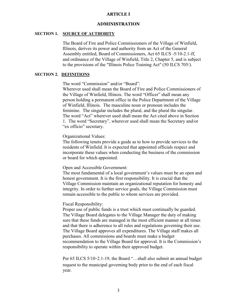#### **ARTICLE I**

#### **ADMINISTRATION**

#### **SECTION 1. SOURCE OF AUTHORITY**

The Board of Fire and Police Commissioners of the Village of Winfield, Illinois, derives its power and authority from an Act of the General Assembly entitled, Board of Commissioners, Act 65 ILCS -5/10-2.1-ff, and ordinance of the Village of Winfield, Title 2, Chapter 5, and is subject to the provisions of the "Illinois Police Training Act" (50 ILCS 705/).

## **SECTION 2. DEFINITIONS**

The word "Commission" and/or "Board":

Wherever used shall mean the Board of Fire and Police Commissioners of the Village of Winfield, Illinois. The word "Officer" shall mean any person holding a permanent office in the Police Department of the Village of Winfield, Illinois. The masculine noun or pronoun includes the feminine. The singular includes the plural, and the plural the singular. The word "Act" wherever used shall mean the Act cited above in Section 1. The word "Secretary", wherever used shall mean the Secretary and/or "ex officio" secretary.

#### Organizational Values:

The following tenets provide a guide as to how to provide services to the residents of Winfield. It is expected that appointed officials respect and incorporate these values when conducting the business of the commission or board for which appointed.

#### Open and Accessible Government:

The most fundamental of a local government's values must be an open and honest government. It is the first responsibility. It is crucial that the Village Commission maintain an organizational reputation for honesty and integrity. In order to further service goals, the Village Commission must remain accessible to the public to whom services are provided.

#### Fiscal Responsibility:

Proper use of public funds is a trust which must continually be guarded. The Village Board delegates to the Village Manager the duty of making sure that these funds are managed in the most efficient manner at all times and that there is adherence to all rules and regulations governing their use. The Village Board approves all expenditures. The Village staff makes all purchases. All commissions and boards must make a budget recommendation to the Village Board for approval. It is the Commission's responsibility to operate within their approved budget.

Per 65 ILCS 5/10-2.1-19, the Board "...shall also submit an annual budget request to the municipal governing body prior to the end of each fiscal year.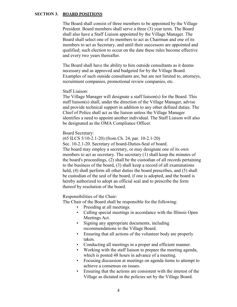## **SECTION 3. BOARD POSITIONS**

The Board shall consist of three members to be appointed by the Village President. Board members shall serve a three (3) year term. The Board shall also have a Staff Liaison appointed by the Village Manager. The Board shall select one of its members to act as Chairman and one of its members to act as Secretary, and until their successors are appointed and qualified; such election to occur on the date these rules become effective and every two years thereafter.

The Board shall have the ability to hire outside consultants as it deems necessary and as approved and budgeted for by the Village Board. Examples of such outside consultants are, but are not limited to, attorneys, recruitment companies, promotional review companies, etc.

#### Staff Liaison:

The Village Manager will designate a staff liaison(s) for the Board. This staff liaison(s) shall, under the direction of the Village Manager, advise and provide technical support in addition to any other defined duties. The Chief of Police shall act as the liaison unless the Village Manager identifies a need to appoint another individual. The Staff Liaison will also be designated as the OMA Compliance Officer.

Board Secretary:

(65 ILCS 5/10-2.1-20) (from Ch. 24, par. 10-2.1-20) Sec. 10-2.1-20. Secretary of board-Duties-Seal of board. The board may employ a secretary, or may designate one of its own members to act as secretary. The secretary (1) shall keep the minutes of the board's proceedings, (2) shall be the custodian of all records pertaining to the business of the board, (3) shall keep a record of all examinations held, (4) shall perform all other duties the board prescribes, and (5) shall be custodian of the seal of the board, if one is adopted, and the board is hereby authorized to adopt an official seal and to prescribe the form thereof by resolution of the board.

Responsibilities of the Chair:

The Chair of the Board shall be responsible for the following:

- Presiding at all meetings.
- Calling special meetings in accordance with the Illinois Open Meetings Act.
- Signing any appropriate documents, including recommendations to the Village Board.
- Ensuring that all actions of the volunteer body are properly taken.
- Conducting all meetings in a proper and efficient manner.
- Working with the staff liaison to prepare the meeting agenda, which is posted 48 hours in advance of a meeting.
- Focusing discussion at meetings on agenda items to attempt to achieve a consensus on issues.
- Ensuring that the actions are consistent with the interest of the Village as dictated in the policies set by the Village Board.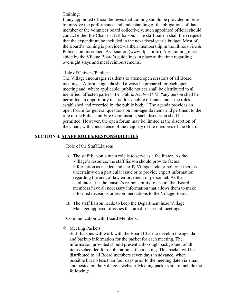Training:

If any appointed official believes that training should be provided in order to improve the performance and understanding of the obligations of that member or the volunteer board collectively, such appointed official should contact either the Chair or staff liaison. The staff liaison shall then request that the expenditure be included in the next fiscal year's budget. Most of the Board's training is provided via their membership in the Illinois Fire & Police Commissioners Association (www.ifpca.info). Any training must abide by the Village Board's guidelines in place at the time regarding overnight stays and meal reimbursements.

## Role of Citizens/Public:

The Village encourages residents to attend open sessions of all Board meetings. A formal agenda shall always be prepared for each open meeting and, where applicable, public notices shall be distributed to all identified, affected parties. Per Public Act 96-1473, "any person shall be permitted an opportunity to address public officials under the rules established and recorded by the public body." The agenda provides an open forum for general questions on non-agenda items and pertinent to the role of the Police and Fire Commission, such discussion shall be permitted. However, the open forum may be limited at the discretion of the Chair, with concurrence of the majority of the members of the Board.

## **SECTION 4. STAFF ROLES/RESPONSIBILITIES**

Role of the Staff Liaison:

- A. The staff liaison's main role is to serve as a facilitator. As the Village's resource, the staff liaison should provide factual information as needed and clarify Village code or policy if there is uncertainty on a particular issue or to provide expert information regarding the area of law enforcement or personnel. As the facilitator, it is the liaison's responsibility to ensure that Board members have all necessary information that allows them to make informed decisions or recommendations to the Village Board.
- B. The staff liaison needs to keep the Department head/Village Manager apprised of issues that are discussed at meetings.

Communication with Board Members:

Meeting Packets:

Staff liaisons will work with the Board Chair to develop the agenda and backup information for the packet for each meeting. The information provided should present a thorough background of all items scheduled for deliberation at the meeting. This packet will be distributed to all Board members seven days in advance, when possible but no less than four days prior to the meeting date via email and posted on the Village's website. Meeting packets are to include the following: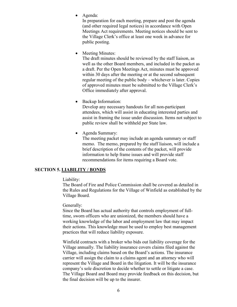• Agenda:

In preparation for each meeting, prepare and post the agenda (and other required legal notices) in accordance with Open Meetings Act requirements. Meeting notices should be sent to the Village Clerk's office at least one week in advance for public posting.

• Meeting Minutes:

The draft minutes should be reviewed by the staff liaison, as well as the other Board members, and included in the packet as a draft. Per the Open Meetings Act, minutes must be approved within 30 days after the meeting or at the second subsequent regular meeting of the public body – whichever is later. Copies of approved minutes must be submitted to the Village Clerk's Office immediately after approval.

• Backup Information:

Develop any necessary handouts for all non-participant attendees, which will assist in educating interested parties and assist in framing the issue under discussion. Items not subject to public review shall be withheld per State law.

• Agenda Summary:

The meeting packet may include an agenda summary or staff memo. The memo, prepared by the staff liaison, will include a brief description of the contents of the packet, will provide information to help frame issues and will provide staff recommendations for items requiring a Board vote.

## **SECTION 5. LIABILITY / BONDS**

## Liability:

The Board of Fire and Police Commission shall be covered as detailed in the Rules and Regulations for the Village of Winfield as established by the Village Board.

## Generally:

Since the Board has actual authority that controls employment of fulltime, sworn officers who are unionized, the members should have a working knowledge of the labor and employment law that may impact their actions. This knowledge must be used to employ best management practices that will reduce liability exposure.

Winfield contracts with a broker who bids out liability coverage for the Village annually. The liability insurance covers claims filed against the Village, including claims based on the Board's actions. The insurance carrier will assign the claim to a claims agent and an attorney who will represent the Village and Board in the litigation. It will be the insurance company's sole discretion to decide whether to settle or litigate a case. The Village Board and Board may provide feedback on this decision, but the final decision will be up to the insurer.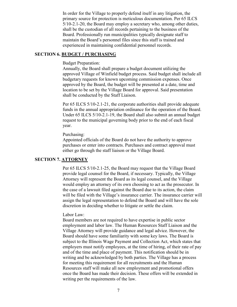In order for the Village to properly defend itself in any litigation, the primary source for protection is meticulous documentation. Per 65 ILCS 5/10-2.1-20, the Board may employ a secretary who, among other duties, shall be the custodian of all records pertaining to the business of the Board. Professionally run municipalities typically designate staff to maintain the Board's personnel files since this staff is trained and experienced in maintaining confidential personnel records.

## **SECTION 6. BUDGET / PURCHASING**

#### Budget Preparation:

Annually, the Board shall prepare a budget document utilizing the approved Village of Winfield budget process. Said budget shall include all budgetary requests for known upcoming commission expenses. Once approved by the Board, the budget will be presented at a date, time and location to be set by the Village Board for approval. Said presentation shall be conducted by the Staff Liaison.

Per 65 ILCS 5/10-2.1-21, the corporate authorities shall provide adequate funds in the annual appropriation ordinance for the operation of the Board. Under 65 ILCS 5/10-2.1-19, the Board shall also submit an annual budget request to the municipal governing body prior to the end of each fiscal year.

## Purchasing:

Appointed officials of the Board do not have the authority to approve purchases or enter into contracts. Purchases and contract approval must either go through the staff liaison or the Village Board.

## **SECTION 7. ATTORNEY**

Per 65 ILCS 5/10-2.1-25, the Board may request that the Village Board provide legal counsel for the Board, if necessary. Typically, the Village Attorney will represent the Board as its legal counsel, and the Village would employ an attorney of its own choosing to act as the prosecutor. In the case of a lawsuit filed against the Board due to its action, the claim will be filed with the Village's insurance carrier. The insurance carrier will assign the legal representation to defend the Board and will have the sole discretion in deciding whether to litigate or settle the claim.

## Labor Law:

Board members are not required to have expertise in public sector employment and labor law. The Human Resources Staff Liaison and the Village Attorney will provide guidance and legal advice. However, the Board should have some familiarity with some key laws. The Board is subject to the Illinois Wage Payment and Collection Act, which states that employers must notify employees, at the time of hiring, of their rate of pay and of the time and place of payment. This notification should be in writing and be acknowledged by both parties. The Village has a process for meeting this requirement for all recruitments and the Human Resources staff will make all new employment and promotional offers once the Board has made their decision. These offers will be extended in writing per the requirements of the law.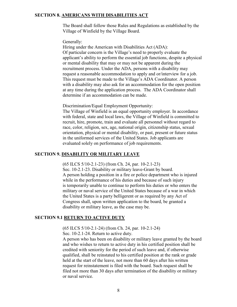## **SECTION 8. AMERICANS WITH DISABILITIES ACT**

The Board shall follow those Rules and Regulations as established by the Village of Winfield by the Village Board.

#### Generally:

Hiring under the American with Disabilities Act (ADA): Of particular concern is the Village's need to properly evaluate the applicant's ability to perform the essential job functions, despite a physical or mental disability that may or may not be apparent during the recruitment process. Under the ADA, persons with a disability may request a reasonable accommodation to apply and or/interview for a job. This request must be made to the Village's ADA Coordinator. A person with a disability may also ask for an accommodation for the open position at any time during the application process. The ADA Coordinator shall determine if an accommodation can be made.

Discrimination/Equal Employment Opportunity:

The Village of Winfield is an equal opportunity employer. In accordance with federal, state and local laws, the Village of Winfield is committed to recruit, hire, promote, train and evaluate all personnel without regard to race, color, religion, sex, age, national origin, citizenship status, sexual orientation, physical or mental disability, or past, present or future status in the uniformed services of the United States. Job applicants are evaluated solely on performance of job requirements.

## **SECTION 9. DISABILITY OR MILITARY LEAVE**

(65 ILCS 5/10-2.1-23) (from Ch. 24, par. 10-2.1-23) Sec. 10-2.1-23. Disability or military leave-Grant by board. A person holding a position in a fire or police department who is injured while in the performance of his duties and because of such injury is temporarily unable to continue to perform his duties or who enters the military or naval service of the United States because of a war in which the United States is a party belligerent or as required by any Act of Congress shall, upon written application to the board, be granted a disability or military leave, as the case may be.

## **SECTION 9.1 RETURN TO ACTIVE DUTY**

(65 ILCS 5/10-2.1-24) (from Ch. 24, par. 10-2.1-24)

Sec. 10-2.1-24. Return to active duty.

A person who has been on disability or military leave granted by the board and who wishes to return to active duty in his certified position shall be credited with seniority for the period of such leave and, if otherwise qualified, shall be reinstated to his certified position at the rank or grade held at the start of the leave, not more than 60 days after his written request for reinstatement is filed with the board. Such request shall be filed not more than 30 days after termination of the disability or military or naval service.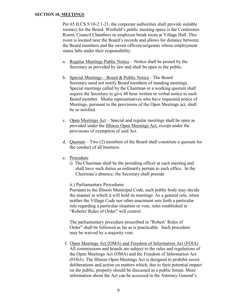#### **SECTION 10. MEETINGS**

Per 65 ILCS 5/10-2.1-21, the corporate authorities shall provide suitable room(s) for the Board. Winfield's public meeting space is the Conference Room, Council Chambers or employee break room at Village Hall. This room is located near the Board's records and allows for distance between the Board members and the sworn officers/sergeants whose employment status falls under their responsibility.

- a. Regular Meetings Public Notice Notice shall be posted by the Secretary as provided by law and shall be open to the public.
- b. Special Meetings Board & Public Notice The Board Secretary need not notify Board members of standing meetings. Special meetings called by the Chairman or a working quorum shall require the Secretary to give 48 hour written or verbal notice to each Board member. Media representatives who have requested notice of Meetings, pursuant to the provisions of the Open Meetings act, shall be so notified.
- c. Open Meetings Act Special and regular meetings shall be open as provided under the Illinois Open Meetings Act, except under the provisions of exemption of said Act.
- d. Quorum Two (2) members of the Board shall constitute a quorum for the conduct of all business.
- e. Procedure
	- i) The Chairman shall be the presiding officer at each meeting and shall have such duties as ordinarily pertain to such office. In the Chairman's absence, the Secretary shall preside.
	- ii.) Parliamentary Procedures

Pursuant to the Illinois Municipal Code, each public body may decide the manner in which it will hold its meetings. As a general rule, when neither the Village Code nor other enactment sets forth a particular rule regarding a particular situation or vote, rules established in "Roberts' Rules of Order" will control.

The parliamentary procedure prescribed in "Robert' Rules of Order" shall be followed as far as is practicable. Such procedure may be waived by a majority vote.

 f. Open Meetings Act (OMA) and Freedom of Information Act (FOIA) All commissions and boards are subject to the rules and regulations of the Open Meetings Act (OMA) and the Freedom of Information Act (FOIA). The Illinois Open Meetings Act is designed to prohibit secret deliberations and action on matters which, due to their potential impact on the public, properly should be discussed in a public forum. More information about the Act can be accessed in the Attorney General's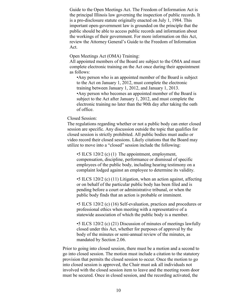Guide to the Open Meetings Act. The Freedom of Information Act is the principal Illinois law governing the inspection of public records. It is a pro-disclosure statute originally enacted on July 1, 1984. This important open-government law is grounded on the principle that the public should be able to access public records and information about the workings of their government. For more information on this Act, review the Attorney General's Guide to the Freedom of Information Act.

Open Meetings Act (OMA) Training:

All appointed members of the Board are subject to the OMA and must complete electronic training on the Act once during their appointment as follows:

•Any person who is an appointed member of the Board is subject to the Act on January 1, 2012, must complete the electronic training between January 1, 2012, and January 1, 2013. •Any person who becomes an appointed member of the Board is subject to the Act after January 1, 2012, and must complete the electronic training no later than the 90th day after taking the oath of office.

## Closed Session:

The regulations regarding whether or not a public body can enter closed session are specific. Any discussion outside the topic that qualifies for closed session is strictly prohibited. All public bodies must audio or video record their closed sessions. Likely citations that the Board may utilize to move into a "closed" session include the following:

•5 ILCS 120/2 (c) (1) The appointment, employment, compensation, discipline, performance or dismissal of specific employees of the public body, including hearing testimony on a complaint lodged against an employee to determine its validity.

•5 ILCS 120/2 (c) (11) Litigation, when an action against, affecting or on behalf of the particular public body has been filed and is pending before a court or administrative tribunal, or when the public body finds that an action is probable or imminent.

•5 ILCS 120/2 (c) (16) Self-evaluation, practices and procedures or professional ethics when meeting with a representative of a statewide association of which the public body is a member.

•5 ILCS 120/2 (c) (21) Discussion of minutes of meetings lawfully closed under this Act, whether for purposes of approval by the body of the minutes or semi-annual review of the minutes, as mandated by Section 2.06.

Prior to going into closed session, there must be a motion and a second to go into closed session. The motion must include a citation to the statutory provision that permits the closed session to occur. Once the motion to go into closed session is approved, the Chair must ask all individuals not involved with the closed session item to leave and the meeting room door must be secured. Once in closed session, and the recording activated, the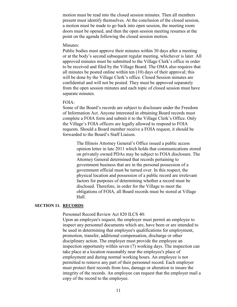motion must be read into the closed session minutes. Then all members present must identify themselves. At the conclusion of the closed session, a motion must be made to go back into open session, the meeting room doors must be opened, and then the open session meeting resumes at the point on the agenda following the closed session motion.

#### Minutes:

Public bodies must approve their minutes within 30 days after a meeting or at the body's second subsequent regular meeting, whichever is later. All approved minutes must be submitted to the Village Clerk's office in order to be received and filed by the Village Board. The OMA also requires that all minutes be posted online within ten (10) days of their approval; this will be done by the Village Clerk's office. Closed Session minutes are confidential and will not be posted. They must be approved separately from the open session minutes and each topic of closed session must have separate minutes.

## FOIA:

Some of the Board's records are subject to disclosure under the Freedom of Information Act. Anyone interested in obtaining Board records must complete a FOIA form and submit it to the Village Clerk's Office. Only the Village's FOIA officers are legally allowed to respond to FOIA requests. Should a Board member receive a FOIA request, it should be forwarded to the Board's Staff Liaison.

> The Illinois Attorney General's Office issued a public access opinion letter in late 2011 which holds that communications stored on privately owned PDAs may be subject to FOIA disclosure. The Attorney General determined that records pertaining to government business that are in the personal possession of a government official must be turned over. In this respect, the physical location and possession of a public record are irrelevant factors for purposes of determining whether a record must be disclosed. Therefore, in order for the Village to meet the obligations of FOIA, all Board records must be stored at Village Hall.

## **SECTION 11. RECORDS**

Personnel Record Review Act 820 ILCS 40:

Upon an employee's request, the employer must permit an employee to inspect any personnel documents which are, have been or are intended to be used in determining that employee's qualifications for employment, promotion, transfer, additional compensation, discharge or other disciplinary action. The employer must provide the employee an inspection opportunity within seven (7) working days. The inspection can take place at a location reasonably near the employee's place of employment and during normal working hours. An employee is not permitted to remove any part of their personnel record. Each employer must protect their records from loss, damage or alteration to insure the integrity of the records. An employee can request that the employer mail a copy of the record to the employee.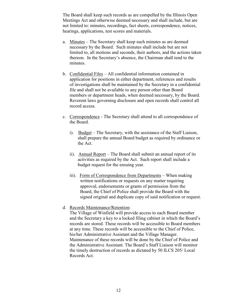The Board shall keep such records as are compelled by the Illinois Open Meetings Act and otherwise deemed necessary and shall include, but are not limited to: minutes, recordings, fact sheets, correspondence, notices, hearings, applications, test scores and materials.

- a. Minutes The Secretary shall keep such minutes as are deemed necessary by the Board. Such minutes shall include but are not limited to, all motions and seconds, their authors, and the actions taken thereon. In the Secretary's absence, the Chairman shall tend to the minutes.
- b. Confidential Files All confidential information contained in application for positions in either department, references and results of investigations shall be maintained by the Secretary in a confidential file and shall not be available to any person other than Board members or department heads, when deemed necessary, by the Board. Reverent laws governing disclosure and open records shall control all record access.
- c. Correspondence The Secretary shall attend to all correspondence of the Board.
	- i). Budget The Secretary, with the assistance of the Staff Liaison, shall prepare the annual Board budget as required by ordinance or the Act.
	- ii). Annual Report The Board shall submit an annual report of its activities as required by the Act. Such report shall include a budget request for the ensuing year.
	- iii). Form of Correspondence from Departments When making written notifications or requests on any matter requiring approval, endorsements or grants of permission from the Board, the Chief of Police shall provide the Board with the signed original and duplicate copy of said notification or request.
- d. Records Maintenance/Retention:

The Village of Winfield will provide access to each Board member and the Secretary a key to a locked filing cabinet in which the Board's records are stored. These records will be accessible to Board members at any time. These records will be accessible to the Chief of Police, his/her Administrative Assistant and the Village Manager. Maintenance of these records will be done by the Chief of Police and the Administrative Assistant. The Board's Staff Liaison will monitor the timely destruction of records as dictated by 50 ILCS 205/ Local Records Act.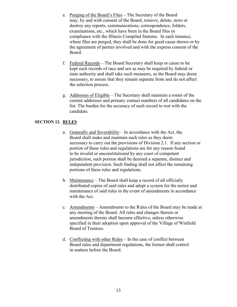- e. Purging of the Board's Files The Secretary of the Board may, by and with consent of the Board, remove, delete, store or destroy any reports, communications; correspondence, folders, examinations, etc., which have been in the Board files in compliance with the Illinois Compiled Statutes. In each instance, where files are purged, they shall be done for good cause shown or by the agreement of parties involved and with the express consent of the Board.
- f. Federal Records The Board Secretary shall keep or cause to be kept such records of race and sex as may be required by federal or state authority and shall take such measures, as the Board may deem necessary, to assure that they remain separate from and do not affect the selection process.
- g. Addresses of Eligible The Secretary shall maintain a roster of the current addresses and primary contact numbers of all candidates on the list. The burden for the accuracy of such record to rest with the candidate.

## **SECTION 12. RULES**

- a. Generally and Severability In accordance with the Act, the Board shall make and maintain such rules as they deem necessary to carry out the provisions of Division 2.1. If any section or portion of these rules and regulations are for any reason found to be invalid or unconstitutional by any court of competent jurisdiction, such portion shall be deemed a separate, distinct and independent provision. Such finding shall not affect the remaining portions of these rules and regulations.
- b. Maintenance The Board shall keep a record of all officially distributed copies of said rules and adopt a system for the notice and maintenance of said rules in the event of amendments in accordance with the Act.
- c. Amendments Amendments to the Rules of the Board may be made at any meeting of the Board. All rules and changes therein or amendments thereto shall become effective, unless otherwise specified in their adoption upon approval of the Village of Winfield Board of Trustees.
- d. Conflicting with other Rules In the case of conflict between Board rules and department regulations, the former shall control in matters before the Board.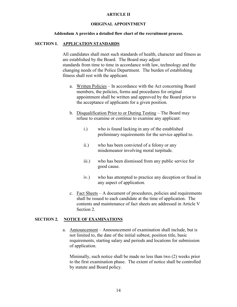## **ARTICLE II**

## **ORIGINAL APPOINTMENT**

#### **Addendum A provides a detailed flow chart of the recruitment process.**

## **SECTION I. APPLICATION STANDARDS**

All candidates shall meet such standards of health, character and fitness as are established by the Board. The Board may adjust standards from time to time in accordance with law, technology and the changing needs of the Police Department. The burden of establishing fitness shall rest with the applicant.

- a. Written Policies In accordance with the Act concerning Board members, the policies, forms and procedures for original appointment shall be written and approved by the Board prior to the acceptance of applicants for a given position.
- b. Disqualification Prior to or During Testing The Board may refuse to examine or continue to examine any applicant:
	- i.) who is found lacking in any of the established preliminary requirements for the service applied to.
	- ii.) who has been convicted of a felony or any misdemeanor involving moral turpitude.
	- iii.) who has been dismissed from any public service for good cause.
	- iv.) who has attempted to practice any deception or fraud in any aspect of application.
- c. Fact Sheets A document of procedures, policies and requirements shall be issued to each candidate at the time of application. The contents and maintenance of fact sheets are addressed in Article V Section 2.

## **SECTION 2. NOTICE OF EXAMINATIONS**

a. Announcement – Announcement of examination shall include, but is not limited to, the date of the initial subtest, position title, basic requirements, starting salary and periods and locations for submission of application.

Minimally, such notice shall be made no less than two (2) weeks prior to the first examination phase. The extent of notice shall be controlled by statute and Board policy.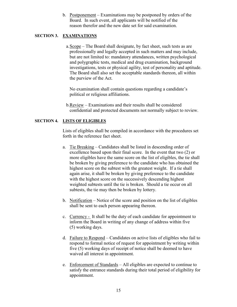b. Postponement – Examinations may be postponed by orders of the Board. In such event, all applicants will be notified of the reason therefor and the new date set for said examination.

## **SECTION 3. EXAMINATIONS**

a.Scope – The Board shall designate, by fact sheet, such tests as are professionally and legally accepted in such matters and may include, but are not limited to: mandatory attendances, written psychological and polygraphic tests, medical and drug examination, background investigations, tests or physical agility, test of personality and aptitude. The Board shall also set the acceptable standards thereon, all within the purview of the Act.

No examination shall contain questions regarding a candidate's political or religious affiliations.

b.Review – Examinations and their results shall be considered confidential and protected documents not normally subject to review.

## **SECTION 4. LISTS OF ELIGIBLES**

Lists of eligibles shall be compiled in accordance with the procedures set forth in the reference fact sheet.

- a. Tie Breaking Candidates shall be listed in descending order of excellence based upon their final score. In the event that two (2) or more eligibles have the same score on the list of eligibles, the tie shall be broken by giving preference to the candidate who has obtained the highest score on the subtest with the greatest weight. If a tie shall again arise, it shall be broken by giving preference to the candidate with the highest score on the successively descending highest weighted subtests until the tie is broken. Should a tie occur on all subtests, the tie may then be broken by lottery.
- b. Notification Notice of the score and position on the list of eligibles shall be sent to each person appearing thereon.
- c. Currency It shall be the duty of each candidate for appointment to inform the Board in writing of any change of address within five (5) working days.
- d. Failure to Respond Candidates on active lists of eligibles who fail to respond to formal notice of request for appointment by writing within five (5) working days of receipt of notice shall be deemed to have waived all interest in appointment.
- e. Enforcement of Standards All eligibles are expected to continue to satisfy the entrance standards during their total period of eligibility for appointment.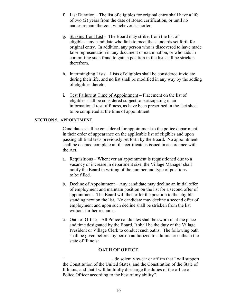- f. List Duration The list of eligibles for original entry shall have a life of two (2) years from the date of Board certification, or until no names remain thereon, whichever is shorter.
- g. Striking from List The Board may strike, from the list of eligibles, any candidate who fails to meet the standards set forth for original entry. In addition, any person who is discovered to have made false representation in any document or examination, or who aids in committing such fraud to gain a position in the list shall be stricken therefrom.
- h. Intermingling Lists Lists of eligibles shall be considered inviolate during their life, and no list shall be modified in any way by the adding of eligibles thereto.
- i. Test Failure at Time of Appointment Placement on the list of eligibles shall be considered subject to participating in an informational test of fitness, as have been prescribed in the fact sheet to be completed at the time of appointment.

## **SECTION 5. APPOINTMENT**

Candidates shall be considered for appointment to the police department in their order of appearance on the applicable list of eligibles and upon passing all final tests previously set forth by the Board. No appointment shall be deemed complete until a certificate is issued in accordance with the Act.

- a. Requisitions Whenever an appointment is requisitioned due to a vacancy or increase in department size, the Village Manager shall notify the Board in writing of the number and type of positions to be filled.
- b. Decline of Appointment Any candidate may decline an initial offer of employment and maintain position on the list for a second offer of appointment. The Board will then offer the position to the eligible standing next on the list. No candidate may decline a second offer of employment and upon such decline shall be stricken from the list without further recourse.
- c. Oath of Office All Police candidates shall be sworn in at the place and time designated by the Board. It shall be the duty of the Village President or Village Clerk to conduct such oaths. The following oath shall be given before any person authorized to administer oaths in the state of Illinois:

## **OATH OF OFFICE**

<sup>&</sup>quot; \_\_\_\_\_\_\_\_\_\_\_\_\_\_\_\_\_\_, do solemly swear or affirm that I will support the Constitution of the United States, and the Constitution of the State of Illlinois, and that I will faithfully discharge the duties of the office of Police Officer according to the best of my ability".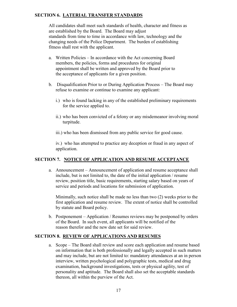## **SECTION 6. LATERIAL TRANSFER STANDARDS**

All candidates shall meet such standards of health, character and fitness as are established by the Board. The Board may adjust standards from time to time in accordance with law, technology and the changing needs of the Police Department. The burden of establishing fitness shall rest with the applicant.

- a. Written Policies In accordance with the Act concerning Board members, the policies, forms and procedures for original appointment shall be written and approved by the Board prior to the acceptance of applicants for a given position.
- b. Disqualification Prior to or During Application Process The Board may refuse to examine or continue to examine any applicant:
	- i.) who is found lacking in any of the established preliminary requirements for the service applied to.
	- ii.) who has been convicted of a felony or any misdemeanor involving moral turpitude.
	- iii.) who has been dismissed from any public service for good cause.

iv.) who has attempted to practice any deception or fraud in any aspect of application.

## **SECTION 7. NOTICE OF APPLICATION AND RESUME ACCEPTANCE**

a. Announcement – Announcement of application and resume acceptance shall include, but is not limited to, the date of the initial application / resume review, position title, basic requirements, starting salary based on years of service and periods and locations for submission of application.

Minimally, such notice shall be made no less than two (2) weeks prior to the first application and resume review. The extent of notice shall be controlled by statute and Board policy.

b. Postponement – Application / Resumes reviews may be postponed by orders of the Board. In such event, all applicants will be notified of the reason therefor and the new date set for said review.

## **SECTION 8. REVIEW OF APPLICATIONS AND RESUMES**

a. Scope – The Board shall review and score each application and resume based on information that is both professionally and legally accepted in such matters and may include, but are not limited to: mandatory attendances at an in person interview, written psychological and polygraphic tests, medical and drug examination, background investigations, tests or physical agility, test of personality and aptitude. The Board shall also set the acceptable standards thereon, all within the purview of the Act.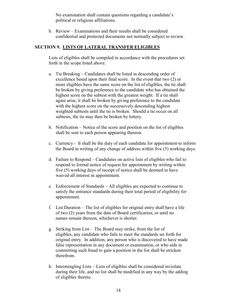No examination shall contain questions regarding a candidate's political or religious affiliations.

b. Review – Examinations and their results shall be considered confidential and protected documents not normally subject to review.

## **SECTION 9. LISTS OF LATERAL TRANSFER ELIGIBLES**

Lists of eligibles shall be compiled in accordance with the procedures set forth in the scope listed above.

- a. Tie Breaking Candidates shall be listed in descending order of excellence based upon their final score. In the event that two (2) or more eligibles have the same score on the list of eligibles, the tie shall be broken by giving preference to the candidate who has obtained the highest score on the subtest with the greatest weight. If a tie shall again arise, it shall be broken by giving preference to the candidate with the highest score on the successively descending highest weighted subtests until the tie is broken. Should a tie occur on all subtests, the tie may then be broken by lottery.
- b. Notification Notice of the score and position on the list of eligibles shall be sent to each person appearing thereon.
- c. Currency It shall be the duty of each candidate for appointment to inform the Board in writing of any change of address within five (5) working days.
- d. Failure to Respond Candidates on active lists of eligibles who fail to respond to formal notice of request for appointment by writing within five (5) working days of receipt of notice shall be deemed to have waived all interest in appointment.
- e. Enforcement of Standards All eligibles are expected to continue to satisfy the entrance standards during their total period of eligibility for appointment.
- f. List Duration The list of eligibles for original entry shall have a life of two (2) years from the date of Board certification, or until no names remain thereon, whichever is shorter.
- g. Striking from List The Board may strike, from the list of eligibles, any candidate who fails to meet the standards set forth for original entry. In addition, any person who is discovered to have made false representation in any document or examination, or who aids in committing such fraud to gain a position in the list shall be stricken therefrom.
- h. Intermingling Lists Lists of eligibles shall be considered inviolate during their life, and no list shall be modified in any way by the adding of eligibles thereto.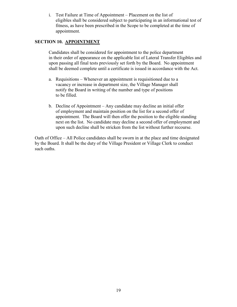i. Test Failure at Time of Appointment – Placement on the list of eligibles shall be considered subject to participating in an informational test of fitness, as have been prescribed in the Scope to be completed at the time of appointment.

## **SECTION 10. APPOINTMENT**

Candidates shall be considered for appointment to the police department in their order of appearance on the applicable list of Lateral Transfer Eligibles and upon passing all final tests previously set forth by the Board. No appointment shall be deemed complete until a certificate is issued in accordance with the Act.

- a. Requisitions Whenever an appointment is requisitioned due to a vacancy or increase in department size, the Village Manager shall notify the Board in writing of the number and type of positions to be filled.
- b. Decline of Appointment Any candidate may decline an initial offer of employment and maintain position on the list for a second offer of appointment. The Board will then offer the position to the eligible standing next on the list. No candidate may decline a second offer of employment and upon such decline shall be stricken from the list without further recourse.

Oath of Office – All Police candidates shall be sworn in at the place and time designated by the Board. It shall be the duty of the Village President or Village Clerk to conduct such oaths.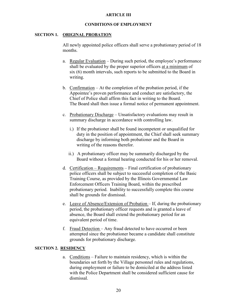## **ARTICLE III**

## **CONDITIONS OF EMPLOYMENT**

## **SECTION 1. ORIGINAL PROBATION**

All newly appointed police officers shall serve a probationary period of 18 months.

- a. Regular Evaluation During such period, the employee's performance shall be evaluated by the proper superior officers at a minimum of six (6) month intervals, such reports to be submitted to the Board in writing.
- b. Confirmation At the completion of the probation period, if the Appointee's proven performance and conduct are satisfactory, the Chief of Police shall affirm this fact in writing to the Board. The Board shall then issue a formal notice of permanent appointment.
- c. Probationary Discharge Unsatisfactory evaluations may result in summary discharge in accordance with controlling law.
	- i.) If the probationer shall be found incompetent or unqualified for duty in the position of appointment, the Chief shall seek summary discharge by informing both probationer and the Board in writing of the reasons therefor.
	- ii.) A probationary officer may be summarily discharged by the Board without a formal hearing conducted for his or her removal.
- d. Certification Requirements Final certification of probationary police officers shall be subject to successful completion of the Basic Training Course, as provided by the Illinois Governmental Law Enforcement Officers Training Board, within the prescribed probationary period. Inability to successfully complete this course shall be grounds for dismissal.
- e. Leave of Absence/Extension of Probation If, during the probationary period, the probationary officer requests and is granted a leave of absence, the Board shall extend the probationary period for an equivalent period of time.
- f. Fraud Detection Any fraud detected to have occurred or been attempted since the probationer became a candidate shall constitute grounds for probationary discharge.

## **SECTION 2. RESIDENCY**

a. Conditions – Failure to maintain residency, which is within the boundaries set forth by the Village personnel rules and regulations, during employment or failure to be domiciled at the address listed with the Police Department shall be considered sufficient cause for dismissal.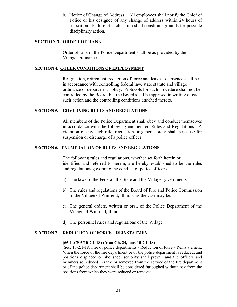b. Notice of Change of Address – All employees shall notify the Chief of Police or his designee of any change of address within 24 hours of relocation. Failure of such action shall constitute grounds for possible disciplinary action.

## **SECTION 3. ORDER OF RANK**

Order of rank in the Police Department shall be as provided by the Village Ordinance.

## **SECTION 4. OTHER CONDITIONS OF EMPLOYMENT**

Resignation, retirement, reduction of force and leaves of absence shall be in accordance with controlling federal law, state statute and village ordinance or department policy. Protocols for such procedure shall not be controlled by the Board, but the Board shall be apprised in writing of each such action and the controlling conditions attached thereto.

## **SECTION 5. GOVERNING RULES AND REGULATIONS**

All members of the Police Department shall obey and conduct themselves in accordance with the following enumerated Rules and Regulations. A violation of any such rule, regulation or general order shall be cause for suspension or discharge of a police officer.

## **SECTION 6. ENUMERATION OF RULES AND REGULATIONS**

The following rules and regulations, whether set forth herein or identified and referred to herein, are hereby established to be the rules and regulations governing the conduct of police officers.

- a) The laws of the Federal, the State and the Village governments.
- b) The rules and regulations of the Board of Fire and Police Commission of the Village of Winfield, Illinois, as the case may be.
- c) The general orders, written or oral, of the Police Department of the Village of Winfield, Illinois.
- d) The personnel rules and regulations of the Village.

## **SECTION 7**. **REDUCTION OF FORCE – REINSTATMENT**

## **(65 ILCS 5/10-2.1-18) (from Ch. 24, par. 10-2.1-18)**

Sec. 10-2.1-18. Fire or police departments - Reduction of force - Reinstatement. When the force of the fire department or of the police department is reduced, and positions displaced or abolished, seniority shall prevail and the officers and members so reduced in rank, or removed from the service of the fire department or of the police department shall be considered furloughed without pay from the positions from which they were reduced or removed.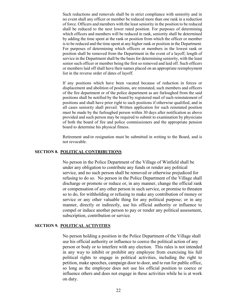Such reductions and removals shall be in strict compliance with seniority and in no event shall any officer or member be reduced more than one rank in a reduction of force. Officers and members with the least seniority in the position to be reduced shall be reduced to the next lower rated position. For purposes of determining which officers and members will be reduced in rank, seniority shall be determined by adding the time spent at the rank or position from which the officer or member is to be reduced and the time spent at any higher rank or position in the Department. For purposes of determining which officers or members in the lowest rank or position shall be removed from the Department in the event of a layoff, length of service in the Department shall be the basis for determining seniority, with the least senior such officer or member being the first so removed and laid off. Such officers or members laid off shall have their names placed on an appropriate reemployment list in the reverse order of dates of layoff.

If any positions which have been vacated because of reduction in forces or displacement and abolition of positions, are reinstated, such members and officers of the fire department or of the police department as are furloughed from the said positions shall be notified by the board by registered mail of such reinstatement of positions and shall have prior right to such positions if otherwise qualified, and in all cases seniority shall prevail. Written application for such reinstated position must be made by the furloughed person within 30 days after notification as above provided and such person may be required to submit to examination by physicians of both the board of fire and police commissioners and the appropriate pension board to determine his physical fitness.

Retirement and/or resignation must be submitted in writing to the Board, and is not revocable.

## **SECTION 8. POLITICAL CONTRIBUTIONS**

No person in the Police Department of the Village of Winfield shall be under any obligation to contribute any funds or render any political service, and no such person shall be removed or otherwise prejudiced for refusing to do so. No person in the Police Department of the Village shall discharge or promote or reduce or, in any manner, change the official rank or compensation of any other person in such service, or promise to threaten so to do, for withholding or refusing to make any contribution of money or service or any other valuable thing for any political purpose; or in any manner, directly or indirectly, use his official authority or influence to compel or induce another person to pay or render any political assessment, subscription, contribution or service.

## **SECTION 9. POLITICAL ACTIVITIES**

No person holding a position in the Police Department of the Village shall use his official authority or influence to coerce the political action of any person or body or to interfere with any election. This rules is not intended in any way to inhibit or prohibit any employee from exercising his full political rights to engage in political activities, including the right to petition, make speeches, campaign door to door, and to run for public office, so long as the employee does not use his official position to coerce or influence others and does not engage in these activities while he is at work on duty.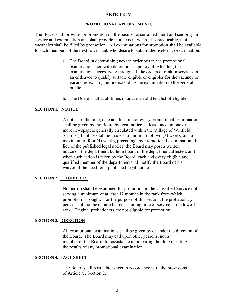#### **ARTICLE IV**

#### **PROMOTIONAL APPOINTMENTS**

The Board shall provide for promotion on the basis of ascertained merit and seniority in service and examination and shall provide in all cases, where it is practicable, that vacancies shall be filled by promotion. All examinations for promotion shall be available to such members of the next lower rank who desire to submit themselves to examination.

- a. The Board in determining next in order of rank in promotional examinations herewith determines a policy of extending the examination successively through all the orders of rank in services in an endeavor to qualify suitable eligible or eligibles for the vacancy or vacancies existing before extending the examination to the general public.
- b. The Board shall at all times maintain a valid test list of eligibles.

## **SECTION 1. NOTICE**

A notice of the time, date and location of every promotional examination shall be given by the Board by legal notice, at least once, in one or more newspapers generally circulated within the Village of Winfield. Such legal notice shall be made at a minimum of two (2) weeks, and a maximum of four (4) weeks, preceding any promotional examination. In lieu of the published legal notice, the Board may post a written notice on the department bulletin board of the department affected, and when such action is taken by the Board, each and every eligible and qualified member of the department shall notify the Board of his waiver of the need for a published legal notice.

## **SECTION 2. ELIGIBILITY**

No person shall be examined for promotion in the Classified Service until serving a minimum of at least 12 months in the rank from which promotion is sought. For the purpose of this section, the probationary period shall not be counted in determining time of service in the lowest rank. Original probationers are not eligible for promotion.

#### **SECTION 3. DIRECTION**

All promotional examinations shall be given by or under the direction of the Board. The Board may call upon other persons, not a member of the Board, for assistance in preparing, holding or rating the results of any promotional examination.

## **SECTION 4. FACT SHEET**

The Board shall post a fact sheet in accordance with the provisions of Article V, Section 2.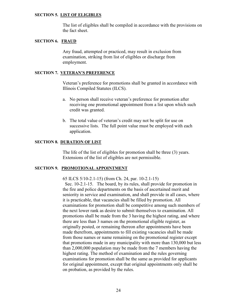## **SECTION 5. LIST OF ELIGIBLES**

The list of eligibles shall be compiled in accordance with the provisions on the fact sheet.

## **SECTION 6. FRAUD**

Any fraud, attempted or practiced, may result in exclusion from examination, striking from list of eligibles or discharge from employment.

## **SECTION 7. VETERAN'S PREFERENCE**

Veteran's preference for promotions shall be granted in accordance with Illinois Compiled Statutes (ILCS).

- a. No person shall receive veteran's preference for promotion after receiving one promotional appointment from a list upon which such credit was granted.
- b. The total value of veteran's credit may not be split for use on successive lists. The full point value must be employed with each application.

## **SECTION 8. DURATION OF LIST**

The life of the list of eligibles for promotion shall be three (3) years. Extensions of the list of eligibles are not permissible.

## **SECTION 9. PROMOTIONAL APPOINTMENT**

65 ILCS 5/10-2.1-15) (from Ch. 24, par. 10-2.1-15) Sec. 10-2.1-15. The board, by its rules, shall provide for promotion in the fire and police departments on the basis of ascertained merit and

seniority in service and examination, and shall provide in all cases, where it is practicable, that vacancies shall be filled by promotion. All examinations for promotion shall be competitive among such members of the next lower rank as desire to submit themselves to examination. All promotions shall be made from the 3 having the highest rating, and where there are less than 3 names on the promotional eligible register, as originally posted, or remaining thereon after appointments have been made therefrom, appointments to fill existing vacancies shall be made from those names or name remaining on the promotional register except that promotions made in any municipality with more than 130,000 but less than 2,000,000 population may be made from the 7 members having the highest rating. The method of examination and the rules governing examinations for promotion shall be the same as provided for applicants for original appointment, except that original appointments only shall be on probation, as provided by the rules.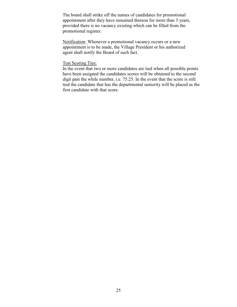The board shall strike off the names of candidates for promotional appointment after they have remained thereon for more than 3 years, provided there is no vacancy existing which can be filled from the promotional register.

Notification: Whenever a promotional vacancy occurs or a new appointment is to be made, the Village President or his authorized agent shall notify the Board of such fact.

## Test Scoring Ties:

In the event that two or more candidates are tied when all possible points have been assigned the candidates scores will be obtained to the second digit past the while number, i.e. 75.25. In the event that the score is still tied the candidate that has the departmental seniority will be placed as the first candidate with that score.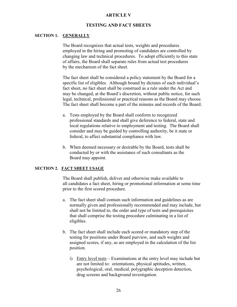## **ARTICLE V**

## **TESTING AND FACT SHEETS**

#### **SECTION 1. GENERALLY**

The Board recognizes that actual tests, weights and procedures employed in the hiring and promoting of candidates are controlled by changing law and technical procedures. To adopt efficiently to this state of affairs, the Board shall separate rules from actual test procedures by the mechanism of the fact sheet.

The fact sheet shall be considered a policy statement by the Board for a specific list of eligibles. Although bound by dictates of each individual's fact sheet, no fact sheet shall be construed as a rule under the Act and may be changed, at the Board's discretion, without public notice, for such legal, technical, professional or practical reasons as the Board may choose. The fact sheet shall become a part of the minutes and records of the Board.

- a. Tests employed by the Board shall conform to recognized professional standards and shall give deference to federal, state and local regulations relative to employment and testing. The Board shall consider and may be guided by controlling authority, be it state or federal, to affect substantial compliance with law.
- b. When deemed necessary or desirable by the Board, tests shall be conducted by or with the assistance of such consultants as the Board may appoint.

## **SECTION 2. FACT SHEET USAGE**

The Board shall publish, deliver and otherwise make available to all candidates a fact sheet, hiring or promotional information at some time prior to the first scored procedure.

- a. The fact sheet shall contain such information and guidelines as are normally given and professionally recommended and may include, but shall not be limited to, the order and type of tests and prerequisites that shall comprise the testing procedure culminating in a list of eligibles.
- b. The fact sheet shall include each scored or mandatory step of the testing for positions under Board purview, and such weights and assigned scores, if any, as are employed in the calculation of the list position.
	- i) Entry level tests Examinations at the entry level may include but are not limited to: orientations, physical aptitudes, written, psychological, oral, medical, polygraphic deception detection, drug screens and background investigation.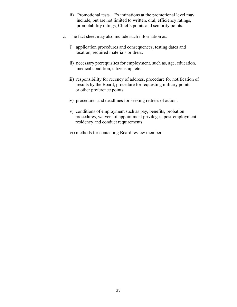- ii) Promotional tests Examinations at the promotional level may include, but are not limited to written, oral, efficiency ratings, promotability ratings, Chief's points and seniority points.
- c. The fact sheet may also include such information as:
	- i) application procedures and consequences, testing dates and location, required materials or dress.
	- ii) necessary prerequisites for employment, such as, age, education, medical condition, citizenship, etc.
	- iii) responsibility for recency of address, procedure for notification of results by the Board, procedure for requesting military points or other preference points.
	- iv) procedures and deadlines for seeking redress of action.
	- v) conditions of employment such as pay, benefits, probation procedures, waivers of appointment privileges, post-employment residency and conduct requirements.
	- vi) methods for contacting Board review member.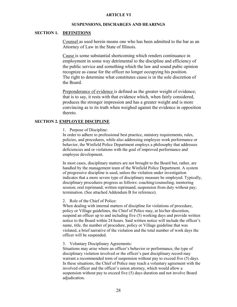## **ARTICLE VI**

#### **SUSPENSIONS, DISCHARGES AND HEARINGS**

## **SECTION 1. DEFINITIONS**

Counsel as used herein means one who has been admitted to the bar as an Attorney of Law in the State of Illinois.

Cause is some substantial shortcoming which renders continuance in employment in some way detrimental to the discipline and efficiency of the public service and something which the law and sound pubic opinion recognize as cause for the officer no longer occupying his position. The right to determine what constitutes cause is in the sole discretion of the Board.

Preponderance of evidence is defined as the greater weight of evidence; that is to say, it rests with that evidence which, when fairly considered, produces the stronger impression and has a greater weight and is more convincing as to its truth when weighed against the evidence in opposition thereto.

## **SECTION 2. EMPLOYEE DISCIPLINE**

1. Purpose of Discipline:

In order to adhere to professional best practice, statutory requirements, rules, policies, and procedures, while also addressing employee work performance or behavior, the Winfield Police Department employs a philosophy that addresses deficiencies and or violations with the goal of improved performance and employee development.

In most cases, disciplinary matters are not brought to the Board but, rather, are handled by the management team of the Winfield Police Department. A system of progressive discipline is used, unless the violation under investigation indicates that a more severe type of disciplinary measure be employed. Typically, disciplinary procedures progress as follows: coaching/counseling; mentoring session; oral reprimand; written reprimand; suspension from duty without pay; termination. (See attached Addendum B for reference).

2. Role of the Chief of Police:

When dealing with internal matters of discipline for violations of procedure, policy or Village guidelines, the Chief of Police may, at his/her discretion, suspend an officer up to and including five (5) working days and provide written notice to the Board within 24 hours. Said written notice will include the officer's name, title, the number of procedure, policy or Village guideline that was violated, a brief narrative of the violation and the total number of work days the officer will be suspended.

3. Voluntary Disciplinary Agreements:

Situations may arise where an officer's behavior or performance, the type of disciplinary violation involved or the officer's past disciplinary record may warrant a recommended term of suspension without pay to exceed five (5) days. In these situations, the Chief of Police may reach a voluntary agreement with the involved officer and the officer's union attorney, which would allow a suspension without pay to exceed five (5) days duration and not involve Board adjudication.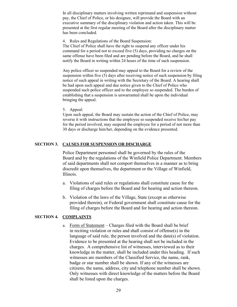In all disciplinary matters involving written reprimand and suspension without pay, the Chief of Police, or his designee, will provide the Board with an executive summary of the disciplinary violation and action taken. This will be presented at the first regular meeting of the Board after the disciplinary matter has been concluded.

4. Rules and Regulations of the Board Suspension:

The Chief of Police shall have the right to suspend any officer under his command for a period not to exceed five (5) days, providing no charges on the same offense have been filed and are pending before the Board, and he shall notify the Board in writing within 24 hours of the time of such suspension.

Any police officer so suspended may appeal to the Board for a review of the suspension within five (5) days after receiving notice of such suspension by filing notice of such appeal in writing with the Secretary of the Board. A hearing shall be had upon such appeal and due notice given to the Chief of Police who suspended such police officer and to the employee so suspended. The burden of establishing that a suspension is unwarranted shall be upon the individual bringing the appeal.

5. Appeal:

Upon such appeal, the Board may sustain the action of the Chief of Police, may reverse it with instructions that the employee so suspended receive his/her pay for the period involved, may suspend the employee for a period of not more than 30 days or discharge him/her, depending on the evidence presented.

#### **SECTION 3. CAUSES FOR SUSPENSION OR DISCHARGE**

Police Department personnel shall be governed by the rules of the Board and by the regulations of the Winfield Police Department. Members of said departments shall not comport themselves in a manner as to bring discredit upon themselves, the department or the Village of Winfield, Illinois.

- a. Violations of said rules or regulations shall constitute cause for the filing of charges before the Board and for hearing and action thereon.
- b. Violation of the laws of the Village, State (except as otherwise provided therein), or Federal government shall constitute cause for the filing of charges before the Board and for hearing and action thereon.

## **SECTION 4. COMPLAINTS**

a. Form of Statement – Charges filed with the Board shall be brief in reciting violation or rules and shall consist of offense(s) in the language of said rule, the person involved and the date(s) of violation. Evidence to be presented at the hearing shall not be included in the charges. A comprehensive list of witnesses, interviewed as to their knowledge in the matter, shall be included under this heading. If such witnesses are members of the Classified Service, the name, rank, badge or star number shall be shown. If any of the witnesses are citizens, the name, address, city and telephone number shall be shown. Only witnesses with direct knowledge of the matters before the Board shall be listed upon the charges.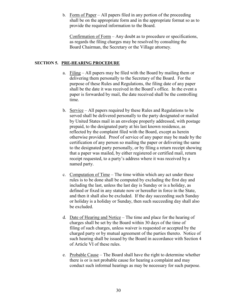b. Form of Paper – All papers filed in any portion of the proceeding shall be on the appropriate form and in the appropriate format so as to provide the required information to the Board.

Confirmation of Form – Any doubt as to procedure or specifications, as regards the filing charges may be resolved by consulting the Board Chairman, the Secretary or the Village attorney.

## **SECTION 5. PRE-HEARING PROCEDURE**

- a. Filing All papers may be filed with the Board by mailing them or delivering them personally to the Secretary of the Board. For the purpose of these Rules and Regulations, the filing date of any paper shall be the date it was received in the Board's office. In the event a paper is forwarded by mail, the date received shall be the controlling time.
- b. Service All papers required by these Rules and Regulations to be served shall be delivered personally to the party designated or mailed by United States mail in an envelope properly addressed, with postage prepaid, to the designated party at his last known residence, as reflected by the complaint filed with the Board, except as herein otherwise provided. Proof of service of any paper may be made by the certification of any person so mailing the paper or delivering the same to the designated party personally, or by filing a return receipt showing that a paper was mailed, by either registered or certified mail, return receipt requested, to a party's address where it was received by a named party.
- c. Computation of Time The time within which any act under these rules is to be done shall be computed by excluding the first day and including the last, unless the last day is Sunday or is a holiday, as defined or fixed in any statute now or hereafter in force in the State, and then it shall also be excluded. If the day succeeding such Sunday or holiday is a holiday or Sunday, then such succeeding day shall also be excluded.
- d. Date of Hearing and Notice The time and place for the hearing of charges shall be set by the Board within 30 days of the time of filing of such charges, unless waiver is requested or accepted by the charged party or by mutual agreement of the parties thereto. Notice of such hearing shall be issued by the Board in accordance with Section 4 of Article VI of these rules.
- e. Probable Cause The Board shall have the right to determine whether there is or is not probable cause for hearing a complaint and may conduct such informal hearings as may be necessary for such purpose.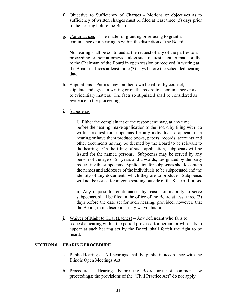- f. Objective to Sufficiency of Charges Motions or objectives as to sufficiency of written charges must be filed at least three (3) days prior to the hearing before the Board.
- g. Continuances The matter of granting or refusing to grant a continuance or a hearing is within the discretion of the Board.

No hearing shall be continued at the request of any of the parties to a proceeding or their attorneys, unless such request is either made orally to the Chairman of the Board in open session or received in writing at the Board's offices at least three (3) days before the scheduled hearing date.

- h. Stipulations Parties may, on their own behalf or by counsel, stipulate and agree in writing or on the record to a continuance or as to evidentiary matters. The facts so stipulated shall be considered as evidence in the proceeding.
- i. Subpoenas –

i) Either the complainant or the respondent may, at any time before the hearing, make application to the Board by filing with it a written request for subpoenas for any individual to appear for a hearing or have them produce books, papers, records, accounts and other documents as may be deemed by the Board to be relevant to the hearing. On the filing of such application, subpoenas will be issued for the named persons. Subpoenas may be served by any person of the age of 21 years and upwards, designated by the party requesting the subpoenas. Application for subpoenas should contain the names and addresses of the individuals to be subpoenaed and the identity of any documents which they are to produce. Subpoenas will not be issued for anyone residing outside of the State of Illinois.

ii) Any request for continuance, by reason of inability to serve subpoenas, shall be filed in the office of the Board at least three (3) days before the date set for such hearing; provided, however, that the Board, in its discretion, may waive this rule.

j. Waiver of Right to Trial (Laches) – Any defendant who fails to request a hearing within the period provided for herein, or who fails to appear at such hearing set by the Board, shall forfeit the right to be heard.

## **SECTION 6. HEARING PROCEDURE**

- a. Public Hearings All hearings shall be public in accordance with the Illinois Open Meetings Act.
- b. Procedure Hearings before the Board are not common law proceedings; the provisions of the "Civil Practice Act" do not apply.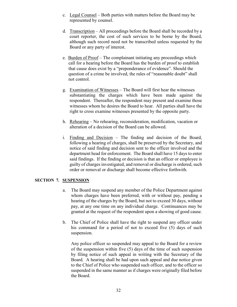- c. Legal Counsel Both parties with matters before the Board may be represented by counsel.
- d. Transcription All proceedings before the Board shall be recorded by a court reporter, the cost of such services to be borne by the Board, although such record need not be transcribed unless requested by the Board or any party of interest.
- e. Burden of Proof The complainant initiating any proceedings which call for a hearing before the Board has the burden of proof to establish that cause does exist by a "preponderance of evidence". Should the question of a crime be involved, the rules of "reasonable doubt" shall not control.
- g. Examination of Witnesses The Board will first hear the witnesses substantiating the charges which have been made against the respondent. Thereafter, the respondent may present and examine those witnesses whom he desires the Board to hear. All parties shall have the right to cross examine witnesses presented by the opposite party.
- h. Rehearing No rehearing, reconsideration, modification, vacation or alteration of a decision of the Board can be allowed.
- i. Finding and Decision The finding and decision of the Board, following a hearing of charges, shall be preserved by the Secretary, and notice of said finding and decision sent to the officer involved and the department head for enforcement. The Board shall have 15 days to enter said findings. If the finding or decision is that an officer or employee is guilty of charges investigated, and removal or discharge is ordered, such order or removal or discharge shall become effective forthwith.

## **SECTION 7. SUSPENSION**

- a. The Board may suspend any member of the Police Department against whom charges have been preferred, with or without pay, pending a hearing of the charges by the Board, but not to exceed 30 days, without pay, at any one time on any individual charge. Continuances may be granted at the request of the respondent upon a showing of good cause.
- b. The Chief of Police shall have the right to suspend any officer under his command for a period of not to exceed five (5) days of such suspension.

Any police officer so suspended may appeal to the Board for a review of the suspension within five (5) days of the time of such suspension by filing notice of such appeal in writing with the Secretary of the Board. A hearing shall be had upon such appeal and due notice given to the Chief of Police who suspended such officer, and to the officer so suspended in the same manner as if charges were originally filed before the Board.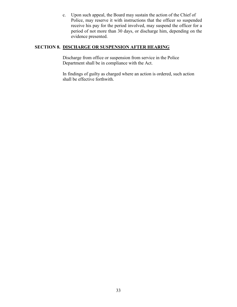c. Upon such appeal, the Board may sustain the action of the Chief of Police, may reserve it with instructions that the officer so suspended receive his pay for the period involved, may suspend the officer for a period of not more than 30 days, or discharge him, depending on the evidence presented.

## **SECTION 8. DISCHARGE OR SUSPENSION AFTER HEARING**

Discharge from office or suspension from service in the Police Department shall be in compliance with the Act.

In findings of guilty as charged where an action is ordered, such action shall be effective forthwith.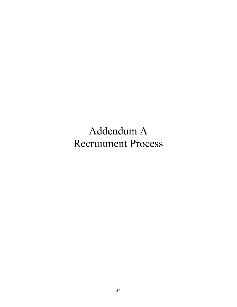Addendum A Recruitment Process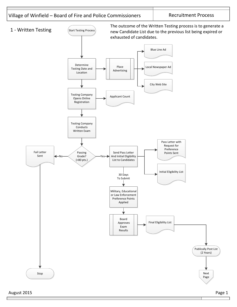<span id="page-35-0"></span>

August 2015 **Page 1** 

Л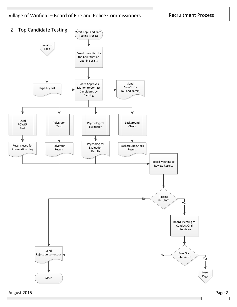## <span id="page-36-0"></span>Village of Winfield – Board of Fire and Police Commissioners

Recruitment Process



Е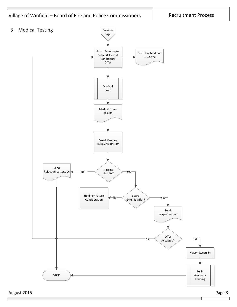## <span id="page-37-0"></span>Village of Winfield – Board of Fire and Police Commissioners

Recruitment Process



August 2015 Page 3

Г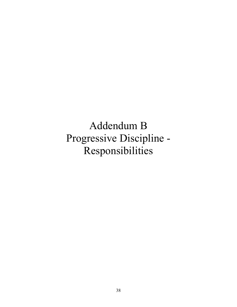Addendum B Progressive Discipline - Responsibilities